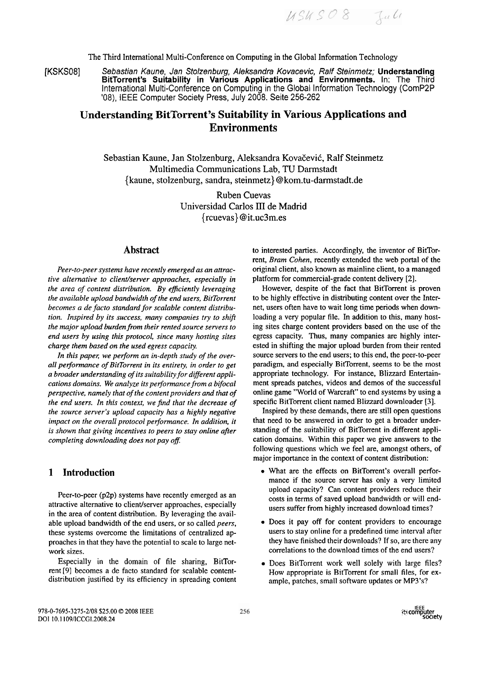The Third International Multi-Conference on Computing in the Global Information Technology

[KSKS08] Sebastian Kaune, Jan Stolzenburg, Aleksandra Kovacevic, Ralf Steinmetz; **Understanding** [KSKS08] BitTorrent's Suitability in Various Applications and Environments. In: The Third International Multi-Conference on Computing in the Global Information Technology (ComP2P '08), IEEE Computer Society Press, July 2008. Seite 256-262

# **Understanding BitTorrent's Suitability in Various Applications and Environments**

Sebastian Kaune, Jan Stolzenburg, Aleksandra Kovačević, Ralf Steinmetz Multimedia Communications Lab, TU Darmstadt {kaune, stolzenburg, sandra, steinmetz) @kom.tu-darmstadt.de

> Ruben Cuevas Universidad Carlos **I11** de Madrid  ${recivas}$  @it.uc3m.es

## **Abstract**

*Peer-to-peer systems have recently emerged* **as** *an attractive alternative to client/server approaches, especially in the area of content distribution. By efficiently leveraging the available upload bandwidth of the end users, BitTorrent becomes a de facto standard for scalable content distribution. Inspired by its success, many companies try to shifi the major upload burden frorn their rented source servers to end users by using this protocol, since many hosting sites charge thern based on the used egress capacity.* 

In this paper, we perform an in-depth study of the over*all perfomnce of BitTorrent in its entirety, in order to get a broader understanding of its suitability for different applications domains. We analyze its perfomnce from a bifocal perspective, namely that of the content providers und that of the end users. In this context, we find that the decrease of the source server's upload capacity has a highly negative impact on the overall protocol perfomnce. In addition, it is shown that giving incentives to peers to stay online after cornpleting downloading does not pay ofl* 

## **1 Introduction**

Peer-to-peer (p2p) systems have recently emerged as an attractive alternative to client/server approaches, especially in the area of content distribution. By leveraging the available upload bandwidth of the end users, or so called *peers,*  these systems overcome the limitations of centralized approaches in that they have the potential to scale to large network sizes.

Especially in the domain of file sharing, BitTor-<br>
• Does BitTorrent work well solely with large files? rent [9] becomes a de facto standard for scalable content-<br>How appropriate is BitTorrent for small files, for exdistribution justified by its efficiency in spreading content ample, patches, small software updates or MP3's?

to interested parties. Accordingly, the inventor of BitTorrent, *Bram Cohen,* recently extended the web portal of the original client, also known as mainline client, to a managed platform for commercial-grade content delivery [2].

 $\textit{USUSO 8}$  Juli

However, despite of the fact that BitTorrent is proven to be highly effective in distributing content over the Internet, users often have to wait long time periods when downloading a very popular file. In addition to this, many hosting sites charge content providers based on the use of the egress capacity. Thus, many companies are highly interested in shifting the major upload burden from their rented source servers to the end users; to this end, the peer-to-peer paradigrn, and especially BitTorrent, seems to be the most appropriate technology. For instance, Blizzard Entertainment spreads patches, videos and demos of the successful online game "World of Warcraft" to end systems by using a specific BitTorrent client named Blizzard downloader **[3].** 

Inspired by these demands, there are still Open questions that need to be answered in order to get a broader understanding of the suitability of BitTorrent in different application domains. Within this paper we give answers to the following questions which we feel are, amongst others, of major importance in the context of content distribution:

- What are the effects on BitTorrent's overall performance if the source server has only a very limited upload capacity? Can content providers reduce their costs in terms of saved upload bandwidth or will endusers suffer from highly increased download times?
- Does it pay off for content providers to encourage users to stay online for a predefined time interval after they have finished their downloads? If so, are there any correlations to the download times of the end users?
- 

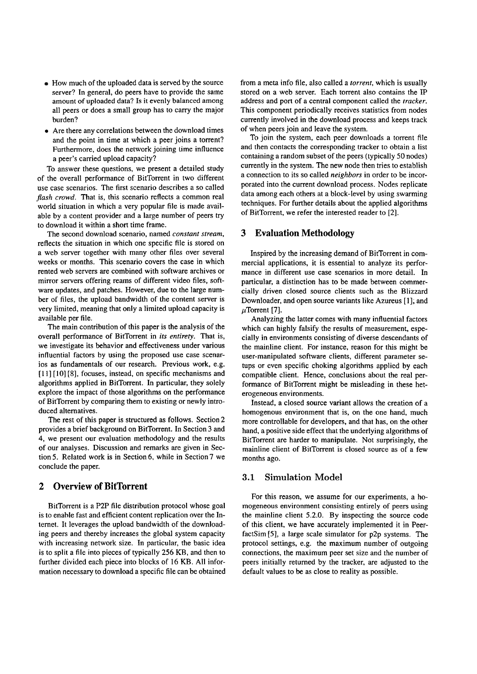- How much of the uploaded data is served by the source server? In general, do peers have to provide the Same amount of uploaded data? **1s** it evenly balanced among all peers or does a small group has to carry the major burden?
- Are there any correlations between the download times and the point in time at which a peer joins a torrent? Furthermore, does the network joining time influence a peer's carried upload capacity?

To answer these questions, we present a detailed study of the overall performance of BitTorrent in two different use case scenarios. The first scenario describes a so called *flash crowd.* That is, this scenario reflects a common real world situation in which a very popular file is made available by a content provider and a large number of peers try to download it within a short time frame.

The second download scenario, named *constant stream,*  reflects the situation in which one specific file is stored on a web server together with many other files over several weeks or months. This scenario covers the case in which rented web servers are combined with software archives or mirror servers offering reams of different video files, soft-Ware updates, and patches. However, due to the large number of files, the upload bandwidth of the content server is very limited, meaning that only a limited upload capacity is available per file.

The main contribution of this paper is the analysis of the overall performance of BitTorrent in *its entirety.* That is, we investigate its behavior and effectiveness under various influential factors by using the proposed use case scenarios as fundamentals of our research. Previous work, e.g. [11] [10] [8], focuses, instead, on specific mechanisms and algorithms applied in BitTorrent. In particular, they solely explore the impact of those algorithms on the performance of BitTorrent by comparing them to existing or newly introduced alternatives.

The rest of this paper is structured as follows. Section 2 provides a brief background on BitTorrent. In Section **3** and 4, we present our evaluation methodology and the results of our analyses. Discussion and remarks are given in Section 5. Related work is in Section 6, while in Section 7 we conclude the paper.

### **2 Overview of BitTorrent**

BitTorrent is a P2P file distribution protocol whose goal is to enahle fast and efficient content replication over the **In**temet. It leverages the upload bandwidth of the downloading peers and thereby increases the global system capacity with increasing network size. In particular, the basic idea is to split a file into pieces of typically 256 KB, and then to further divided each piece into blocks of 16 KB. All information necessary to download a specific file can be obtained from a meta info file, also called a *torrent,* which is usually stored on a web server. Each torrent also contains the **TP**  address and port of a central component called the *tracker.*  This component periodically receives statistics from nodes currently involved in the download process and keeps track of when peers join and leave the system.

To join the system, each peer downloads a torrent file and then contacts the corresponding tracker to obtain a list containing a random subset of the peers (typically 50 nodes) currently in the system. The new node then tries to establish a connection to its so called *neighbors* in order to be incorporated into the current download process. Nodes replicate data among each others at a block-level by using swarming techniques. For further details about the applied algorithms of BitTorrent, we refer the interested reader to [2].

#### **3 Evaluation Methodology**

Inspired by the increasing demand of BitTorrent in commercial applications, it is essential to analyze its performance in different use case scenarios in more detail. In particular, a distinction has to be made between commercially driven closed source clients such as the Blizzard Downloader, and Open source variants like Azureus [I], and  $\mu$ Torrent [7].

Analyzing the latter Comes with many influential factors which can highly falsify the results of measurement, especially in environments consisting of diverse descendants of the mainline client. For instance, reason for this might be user-manipulated software clients, different parameter setups or even specific choking algorithms applied by each compatible client. Hence, conclusions about the real performance of BitTorrent might be misleading in these heterogeneous environments.

Instead, a closed source variant allows the creation of a homogenous environment that is, on the one hand, much more controllable for developers, and that has, on the other hand, a positive side effect that the underlying algorithms of BitTorrent are harder to manipulate. Not surprisingly, the mainline client of BitTorrent is closed source as of a few months ago.

#### **3.1 Simulation Model**

For this reason, we assume for our experiments, a homogeneous environment consisting entirely of peers using the mainline client 5.2.0. By inspecting the source code of this client, we have accurately implemented it in PeerfactSim  $[5]$ , a large scale simulator for  $p2p$  systems. The protocol Settings, e.g. the maximum number of outgoing connections, the maximum peer set size and the number of peers initially retumed by the tracker, are adjusted to the default values to be as close to reality as possible.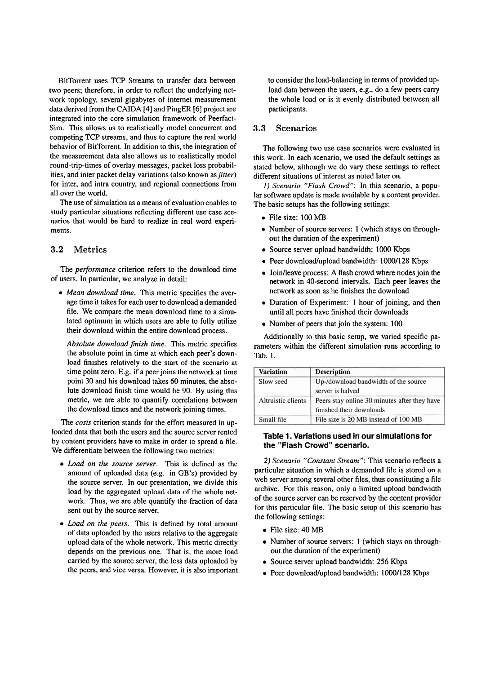BitTorrent uses TCP Streams to transfer data between two peers; therefore, in order to reflect the underlying network topology, several gigabytes of internet measurement data derived from the CAIDA [4] and PingER [6] project are integrated into the core simulation framework of Peerfact-Sim. This allows us to realistically model concurrent and competing TCP streams, and thus to capture the real world behavior of BitTorrent. In addition to this, the integration of the measurement data also allows us to realistically model round-trip-times of overlay messages, packet loss probabilities, and inter packet delay variations (also known as *jitter)*  for inter, and intra country, and regional connections from all over the world.

The use of simulation as a means of evaluation enables to study particular situations reflecting different use case scenarios that would be hard to realize in real word experiments.

## **3.2 Metrics**

The *performance* criterion refers to the download time of users. In particular, we analyze in detail:

*Mean download time.* This metric specifies the average time it takes for each User to download a demanded file. We compare the mean download time to a simulated optimum in which users are able to fully utilize their download within the entire download process.

*Absolute download\$nish time.* This metric specifies the absolute point in time at which each peer's download finishes relatively to the start of the scenario at time point Zero. E.g. if a peer joins the network at time point 30 and his download takes 60 minutes, the absolute download finish time would be 90. Ry using this metric, we are able to quantify correlations between the download times and the network joining times.

The *costs* criterion stands for the effort measured in uploaded data that both the users and the source server rented by content providers have to make in order to spread a file. We differentiate between the following two metrics:

- *Load on the source server.* This is defined as the amount of uploaded data (e.g. in GB's) provided by the source server. In our presentation, we divide this load by the aggregated upload data of the whole network. Thus, we are able quantify the fraction of data sent out by the source server.
- *Load on the peers.* This is defined by total amount of data uploaded by the users relative to the aggregate upload data of the whole network. This metric directly depends on the previous one. That is, the more load carried by the source server, the less data uploaded by the peers, and vice versa. However, it is also important

to consider the load-balancing in terms of provided upload data between the users, e.g., do a few peers cany the whole load or is it evenly distributed between all participants.

### **3.3 Scenarios**

The following two use case scenarios were evaluated in this work. In each scenario, we used the default settings as stated below, although we do vary these settings to reflect different situations of interest as noted later On.

I) *Scenario "Flash Crowd":* In this scenario, a popular software update is made available by a content provider. The basic setups has the following settings:

- File size: 100 MB
- Number of source servers: 1 (which stays on throughout the duration of the experiment)
- Source server upload bandwidth: **1000** Kbps
- Peer download/upload bandwidth: **1000J128** Kbps
- Join/leave process: A flash crowd where nodes join the network in 40-second intervals. Each peer leaves the network as soon as he finishes the download
- Duration of Experiment: **1** hour of joining, and then until all peers have finished their downloads
- Number of peers that join the system: 100

Additionally to this basic setup, we varied specific parameters within the different simulation runs according to Tab. **1.** 

| <b>Variation</b>   | <b>Description</b>                                                       |  |  |  |
|--------------------|--------------------------------------------------------------------------|--|--|--|
| Slow seed          | Up-/download bandwidth of the source<br>server is halved                 |  |  |  |
| Altruistic clients | Peers stay online 30 minutes after they have<br>finished their downloads |  |  |  |
| Small file         | File size is 20 MB instead of 100 MB                                     |  |  |  |

## **Table 1. Variations used in our simulations for the "Flash Crowd" scenario.**

*2) Scenario "Constant Stream":* This scenario reflects a particular situation in which a demanded file is stored on a web server among several other files, thus constituting a file archive. For this reason, only a limited upload bandwidth of the source server can be reserved by the content provider for this particular file. The basic setup of this scenario has the following settings:

- File size: 40 MB
- Number of source servers: 1 (which stays on throughout the duration of the experiment)
- Source server upload bandwidth: **256** Kbps
- Peer download/upload bandwidth: **1000J128** Kbps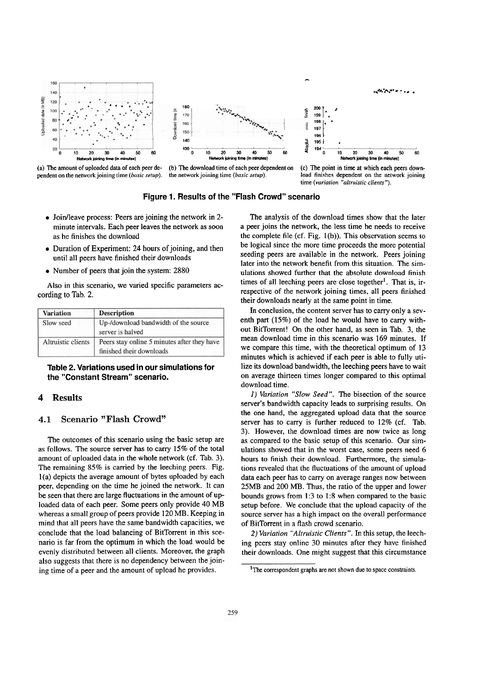

pendent on the network joining time (basic setup).





(a) The amount of uploaded data of each peer de- (b) The download time of each peer dependent on (c) The point in time at which each peers down-<br>pendent on the network joining time (*basic setup*). the network joining time **time (variation "altruistic clients").** 



- Joinlleave process: Peers are joining the network in **2**  minute intervals. Each peer leaves the network as soon as he finishes the download
- Duration of Experiment: **24** hours of joining, and then until all peers have finished their downloads
- Number of peers that join the system: 2880

Also in this scenario, we varied specific parameters according to Tab. 2.

| <b>Variation</b>   | <b>Description</b>                                                      |  |  |
|--------------------|-------------------------------------------------------------------------|--|--|
| Slow seed          | Up-/download bandwidth of the source<br>server is halved                |  |  |
| Altruistic clients | Peers stay online 5 minutes after they have<br>finished their downloads |  |  |

## **Table 2. Variations used in our simulations for the "Constant Stream" scenario.**

## **4 Results**

# **4.1 Scenario "Flash Crowd"**

The outcomes of this scenario using the basic setup are as follows. The source server has to carry 15% of the total amount of uploaded data in the whole network (cf. Tab. 3). The remaining 85% is carried by the leeching peers. Fig. l(a) depicts the average amount of bytes uploaded by each peer, depending on the time he joined the network. It can be seen that there are large fluctuations in the amount of uploaded data of each peer. Some peers only provide **40** MB whereas a small group of peers provide 120 MB. Keeping in mind that all peers have the Same bandwidth capacities, we conclude that the load balancing of BitTorrent in this scenario is far from the optimum in which the load would be evenly distributed between all clients. Moreover, the graph also suggests that there is no dependency between the joining time of a peer and the amount of upload he provides.

The analysis of the download times show that the later a peer joins the network, the less time he needs to receive the complete file (cf. Fig. l(b)). This observation seems to be logical since the more time proceeds the more potential seeding peers are available in the network. Peers joining later into the network benefit from this situation. The simulations showed further that the absolute download finish times of all leeching peers are close together'. That is, **ir**respective of the network joining times, all peers finished their downloads nearly at the Same point in time.

-

In conclusion, the content server has to carry only a seventh part (15%) of the load he would have to carry without BitTorrent! On the other hand, as seen in Tab. 3, the mean download time in this scenario was 169 minutes. If we compare this time, with the theoretical optimum of 13 minutes which is achieved if each peer is able to fully utilize its download bandwidth, the leeching peers have to wait on average thirteen times longer compared to this optimal download time.

*1) Variation "Slow Seed".* The bisection of the source server's bandwidth capacity leads to surprising results. On the one hand, the aggregated upload data that the source server has to carry is further reduced to 12% (cf. Tab. **3).** However, the download times are now twice as long as compared to the basic setup of this scenario. Our simulations showed that in the worst case, some peers need 6 hours to finish their download. Furthermore, the simulations revealed thal the fluctuations of the amount of upload data each peer has to carry on average ranges now between 25MB and 200 MB. Thus, the ratio of the upper and lower bounds grows from 1:3 to 1:8 when compared to the basic setup before. We conclude that the upload capacity of the source server has a high impact on the overail performance of BitTorrent in a flash crowd scenario.

*2) Variation "Allruistic Clients". In* this setup, the leeching peers stay online 30 minutes after they have finished their downloads. One might suggest that this circumstance

<sup>&</sup>lt;sup>1</sup>The correspondent graphs are not shown due to space constraints.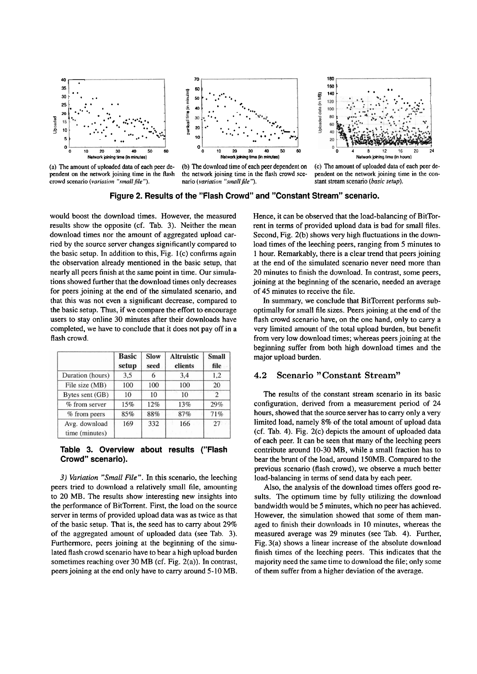

pendent on the network joining time in the flash



(a) The amount of uploaded data of each peer de- (b) The download time of each peer dependent on (c) The amount of uploaded data of each peer de-<br>pendent on the network joining time in the flash the network joining time in crowd scenario (variation "small file"). *nario (variation "small file")*. *stant stream scenario (basic setup).* 



**Figure 2. Results of the "Flash Crowd" and "Constant Stream" scenario.** 

would boost the download times. However, the measured results show the opposite (cf. Tab. **3).** Neither the mean download times nor the amount of aggregated upload carried by the source server changes significantly cornpared to the basic setup. In addition to this, Fig. l(c) confirms again the observation already mentioned in the basic setup, that nearly all peers finish at the same point in time. Our simulations showed further that the download times only decreases for peers joining at the end of the simulated scenario, and that this was not even a significant decrease, cornpared to the basic setup. Thus, if we compare the effort to encourage users to stay online 30 minutes after their downloads have completed, we have to conclude that it does not pay off in a flash crowd.

|                                 | <b>Basic</b><br>setup | <b>Slow</b><br>seed | <b>Altruistic</b><br>clients | <b>Small</b><br>file |
|---------------------------------|-----------------------|---------------------|------------------------------|----------------------|
| Duration (hours)                | 3,5                   | 6                   | 3,4                          | 1,2                  |
| File size (MB)                  | 100                   | 100                 | 100                          | 20                   |
| Bytes sent (GB)                 | 10                    | 10                  | 10                           |                      |
| % from server                   | 15%                   | 12%                 | 13%                          | 29%                  |
| % from peers                    | 85%                   | 88%                 | 87%                          | 71%                  |
| Avg. download<br>time (minutes) | 169                   | 332                 | 166                          | 27                   |

## **Table 3. Overview about results ("Flash Crowd" scenario).**

*3) Variation "Small File".* In this scenario, the leeching peers tned to download a relatively small file, amounting to 20 MB. The results show interesting new insights into the performance of BitTorrent. First, the load on the source server in terms of provided upload data was as twice as that of the basic setup. That is, the seed has to carry about 29% of the aggregated amount of uploaded data (see Tab. **3).**  Furthermore, peers joining at the beginning of the simulated flash crowd scenario have to bear a high upload burden sometimes reaching over 30 MB (cf. Fig. 2(a)). In contrast, peers joining at the end only have to carry around 5-10 MB. Hence, it can be observed that the load-balancing of BitTorrent in terms of provided upload data is bad for small files. Second, Fig. 2(b) shows very high fluctuations in the download times of the leeching peers, ranging from 5 minutes to 1 hour. Remarkably, there is a clear trend that peers joining at the end of the simulated scenario never need more than 20 minutes to finish the download. In contrast, some peers, joining at the beginning of the scenario, needed an average of 45 minutes to receive the file.

In Summary, we conclude that BitTorrent performs suboptimally for small file sizes. Peers joining at the end of the flash crowd scenario have, on the one hand, only to carry a very limited amount of the total upload burden, but benefit from very low download times; whereas peers joining at the beginning suffer from both high download times and the major upload burden.

#### **4.2 Scenario** " **Constant Stream"**

The results of the constant stream scenario in its basic configuration, derived from a measurement period of 24 hours, showed that the source server has to carry only a very limited load, namely 8% of the total amount of upload data (cf. Tab. 4). Fig. 2(c) depicts the amount of uploaded data of each peer. It can be seen that many of the leeching peers contribute around 10-30 MB, while a small fraction has to bear the brunt of the load, around 150MB. Compared to the previous scenario (flash crowd), we observe a much better load-balancing in terms of send data by each peer.

Also, the analysis of the download times offers good results. The optimum time by fully utilizing the download bandwidth would be 5 minutes, which no peer has achieved. However, the simulation showed that some of them managed to finish their downloads in 10 minutes, whereas the measured average was 29 minutes (see Tab. 4). Further, Fig. 3(a) shows a linear increase of the absolute download finish times of the leeching peers. This indicates that the majority need the same time to download the file; only some of them suffer from a higher deviation of the average.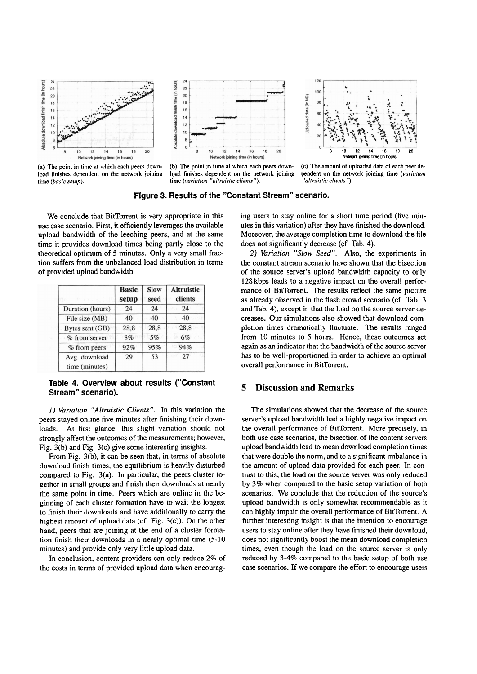

**time (basic serup). time (variarion "altruistic clients** "). **"altruisric clients").** 



(a) The point in time at which each peers down-<br>load finishes dependent on the network joining load finishes dependent on the network joining pendent on the network joining time (*variation* load finishes dependent on the network joining load finishes dependent on the network joining pendent on the network ime (variation "altruistic clients").<br>
<sup>1</sup> altruistic clients").



**Figure 3. Results of the "Constant Strearn" scenario.** 

use case scenario. First, it efficiently leverages the available upload bandwidth of the leeching peers, and at the same Moreover, the average completion time to download the file<br>time it provides download times being partly close to the does not significantly decrease (cf. Tab. 4). time it provides download times being partly close to the theoretical optimum of 5 minutes. Only a very small frac- *2) Variation "Slow Seed".* Also, the experiments in tion suffers from the unbalanced load distribution in terms the constant stream scenario have shown that the bisection of provided upload bandwidth. of the source server's upload bandwidth capacity to only

| $4.11 \times 50$                | <b>Basic</b><br>setup | Slow<br>seed | <b>Altruistic</b><br>clients |
|---------------------------------|-----------------------|--------------|------------------------------|
| Duration (hours)                | 24                    | 24           | 24                           |
| File size (MB)                  | 40                    | 40           | 40                           |
| Bytes sent (GB)                 | 28,8                  | 28,8         | 28,8                         |
| % from server                   | 8%                    | 5%           | 6%                           |
| % from peers                    | 92%                   | 95%          | 94%                          |
| Avg. download<br>time (minutes) | 29                    | 53           | 27                           |

**Table 4. Overview about results ("Constant Stream" scenario). 5 Discussion and Remarks** 

*I) Variation "Altruistic Clients".* In this variation the peers stayed online five minutes after finishing their downloads. At first glance, this slight variation should not strongly affect the outcomes of the measurements; however, Fig. 3(b) and Fig. 3(c) give some interesting insights.

From Fig. 3(b), it can be seen that, in terms of absolute download finish times, the equilibrium is heavily disturbed compared to Fig. 3(a). In particular, the peers cluster together in small groups and finish their downloads at nearly the same point in time. Peers which are online in the beginning of each cluster formation have to wait the longest to finish their downloads and have additionally to carry the highest amount of upload data (cf. Fig. 3(c)). On the other hand, peers that are joining at the end of a cluster formation finish their downloads in a nearly optimal time (5-10 minutes) and provide only very little upload data.

In conclusion, content providers can only reduce 2% of the costs in terms of provided upload data when encourag-

We conclude that BitTorrent is very appropriate in this ing users to stay online for a short time period (five min-<br>e case scenario. First, it efficiently leverages the available utes in this variation) after they have fin

128 kbps leads to a negative impact on the overall performance of BitTorrent. The results reflect the same picture as already observed in the flash crowd scenario (cf. Tab. 3) and Tab. 4), except in that the load on the source server decreases. Our simulations also showed that download completion times dramatically fluctuate. The results ranged from 10 minutes to 5 hours. Hence, these outcomes act again as an indicator that the bandwidth of the source server has to be well-proportioned in order to achieve an optimal overall performance in BitTorrent.

The simulations showed that the decrease of the source server's upload bandwidth had a highly negative impact on the overall performance of BitTorrent. More precisely, in both use case scenarios, the bisection of the content servers upload bandwidth lead to mean download completion times that were double the norm, and to a significant imbalance in the amount of upload data provided for each peer. In contrast to this, the load on the source server was only reduced by 3% when compared to the basic setup variation of both scenarios. We conclude that the reduction of the source's upload bandwidth is only somewhat recommendable as it can highly impair the overall performance of BitTorrent. A further interesting insight is that the intention to encourage users to stay online after they have finished their download, does not significantly boost the mean download completion times, even though the load on the source server is only reduced by 3-4% compared to the basic setup of both use case scenarios. If we compare the effort to encourage users